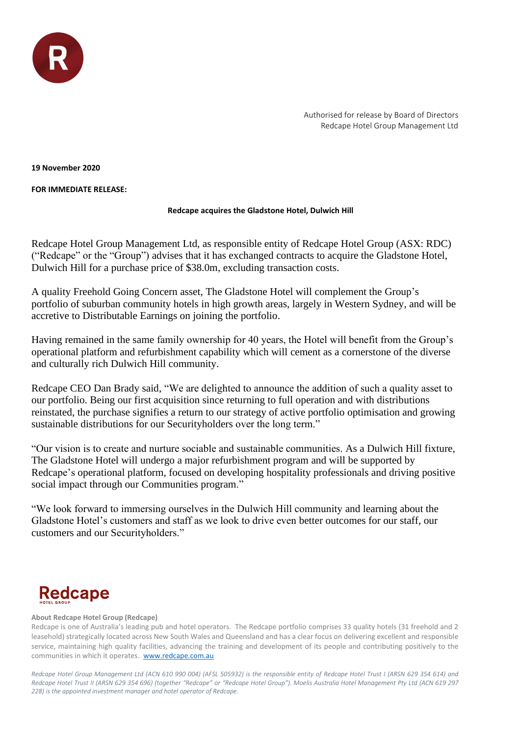

Authorised for release by Board of Directors Redcape Hotel Group Management Ltd

**19 November 2020**

**FOR IMMEDIATE RELEASE:** 

## **Redcape acquires the Gladstone Hotel, Dulwich Hill**

Redcape Hotel Group Management Ltd, as responsible entity of Redcape Hotel Group (ASX: RDC) ("Redcape" or the "Group") advises that it has exchanged contracts to acquire the Gladstone Hotel, Dulwich Hill for a purchase price of \$38.0m, excluding transaction costs.

A quality Freehold Going Concern asset, The Gladstone Hotel will complement the Group's portfolio of suburban community hotels in high growth areas, largely in Western Sydney, and will be accretive to Distributable Earnings on joining the portfolio.

Having remained in the same family ownership for 40 years, the Hotel will benefit from the Group's operational platform and refurbishment capability which will cement as a cornerstone of the diverse and culturally rich Dulwich Hill community.

Redcape CEO Dan Brady said, "We are delighted to announce the addition of such a quality asset to our portfolio. Being our first acquisition since returning to full operation and with distributions reinstated, the purchase signifies a return to our strategy of active portfolio optimisation and growing sustainable distributions for our Securityholders over the long term."

"Our vision is to create and nurture sociable and sustainable communities. As a Dulwich Hill fixture, The Gladstone Hotel will undergo a major refurbishment program and will be supported by Redcape's operational platform, focused on developing hospitality professionals and driving positive social impact through our Communities program."

"We look forward to immersing ourselves in the Dulwich Hill community and learning about the Gladstone Hotel's customers and staff as we look to drive even better outcomes for our staff, our customers and our Securityholders."

## **Redcape**

## **About Redcape Hotel Group (Redcape)**

Redcape is one of Australia's leading pub and hotel operators. The Redcape portfolio comprises 33 quality hotels (31 freehold and 2 leasehold) strategically located across New South Wales and Queensland and has a clear focus on delivering excellent and responsible service, maintaining high quality facilities, advancing the training and development of its people and contributing positively to the communities in which it operates. [www.redcape.com.au](http://www.redcape.com.au/)

*Redcape Hotel Group Management Ltd (ACN 610 990 004) (AFSL 505932) is the responsible entity of Redcape Hotel Trust I (ARSN 629 354 614) and Redcape Hotel Trust II (ARSN 629 354 696) (together "Redcape" or "Redcape Hotel Group"). Moelis Australia Hotel Management Pty Ltd (ACN 619 297 228) is the appointed investment manager and hotel operator of Redcape.*